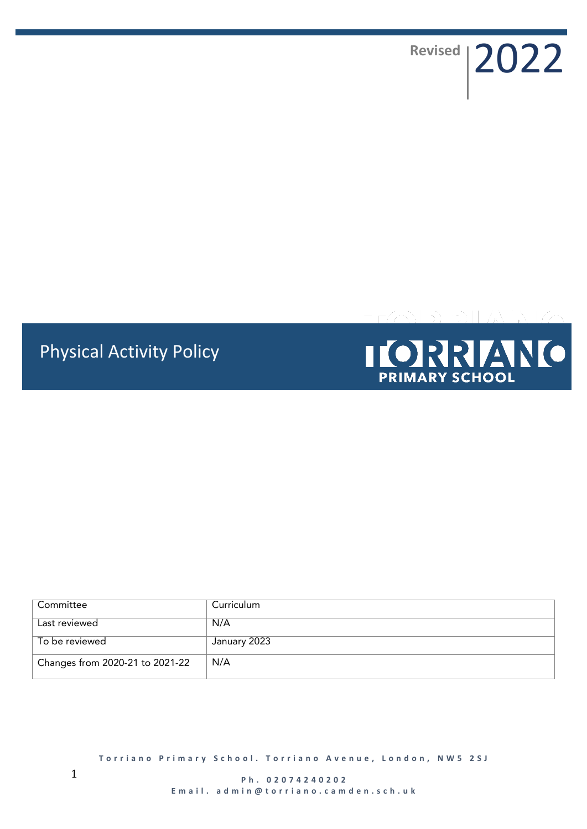Revised | 2022

# Physical Activity Policy



| Committee                       | Curriculum   |
|---------------------------------|--------------|
| Last reviewed                   | N/A          |
| To be reviewed                  | January 2023 |
| Changes from 2020-21 to 2021-22 | N/A          |

**Torriano Primary School. Torriano Avenue, London, NW5 2SJ**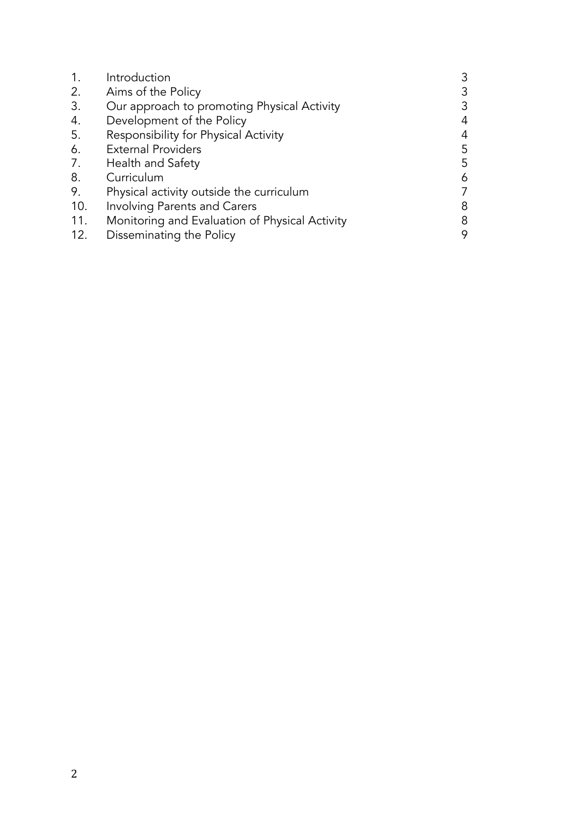| 1.  | Introduction                                   |   |
|-----|------------------------------------------------|---|
| 2.  | Aims of the Policy                             |   |
| 3.  | Our approach to promoting Physical Activity    | 3 |
| 4.  | Development of the Policy                      |   |
| 5.  | Responsibility for Physical Activity           |   |
| 6.  | <b>External Providers</b>                      | 5 |
| 7.  | Health and Safety                              | 5 |
| 8.  | Curriculum                                     | 6 |
| 9.  | Physical activity outside the curriculum       |   |
| 10. | <b>Involving Parents and Carers</b>            | 8 |
| 11. | Monitoring and Evaluation of Physical Activity | 8 |
| 12. | Disseminating the Policy                       |   |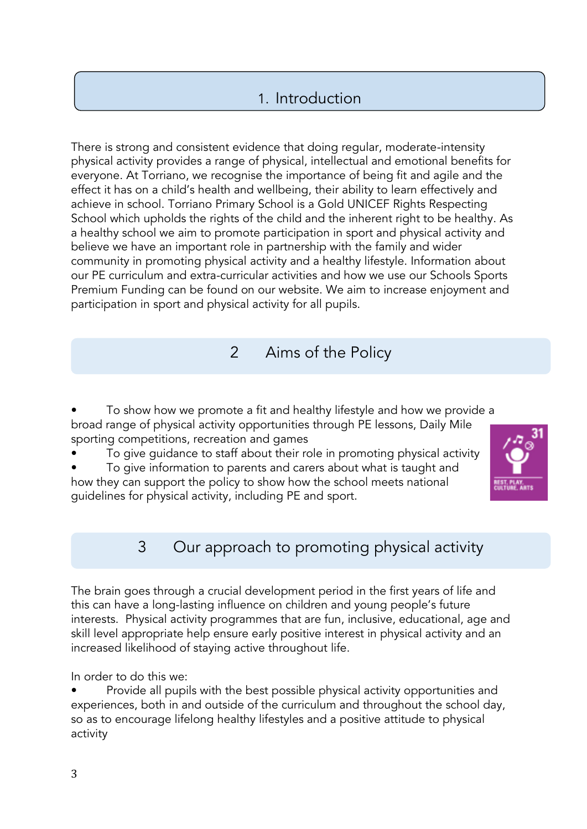# 1. Introduction

There is strong and consistent evidence that doing regular, moderate-intensity physical activity provides a range of physical, intellectual and emotional benefits for everyone. At Torriano, we recognise the importance of being fit and agile and the effect it has on a child's health and wellbeing, their ability to learn effectively and achieve in school. Torriano Primary School is a Gold UNICEF Rights Respecting School which upholds the rights of the child and the inherent right to be healthy. As a healthy school we aim to promote participation in sport and physical activity and believe we have an important role in partnership with the family and wider community in promoting physical activity and a healthy lifestyle. Information about our PE curriculum and extra-curricular activities and how we use our Schools Sports Premium Funding can be found on our website. We aim to increase enjoyment and participation in sport and physical activity for all pupils.

### 2 Aims of the Policy

• To show how we promote a fit and healthy lifestyle and how we provide a broad range of physical activity opportunities through PE lessons, Daily Mile sporting competitions, recreation and games

• To give guidance to staff about their role in promoting physical activity

• To give information to parents and carers about what is taught and how they can support the policy to show how the school meets national guidelines for physical activity, including PE and sport.



# 3 Our approach to promoting physical activity

The brain goes through a crucial development period in the first years of life and this can have a long-lasting influence on children and young people's future interests. Physical activity programmes that are fun, inclusive, educational, age and skill level appropriate help ensure early positive interest in physical activity and an increased likelihood of staying active throughout life.

In order to do this we:

• Provide all pupils with the best possible physical activity opportunities and experiences, both in and outside of the curriculum and throughout the school day, so as to encourage lifelong healthy lifestyles and a positive attitude to physical activity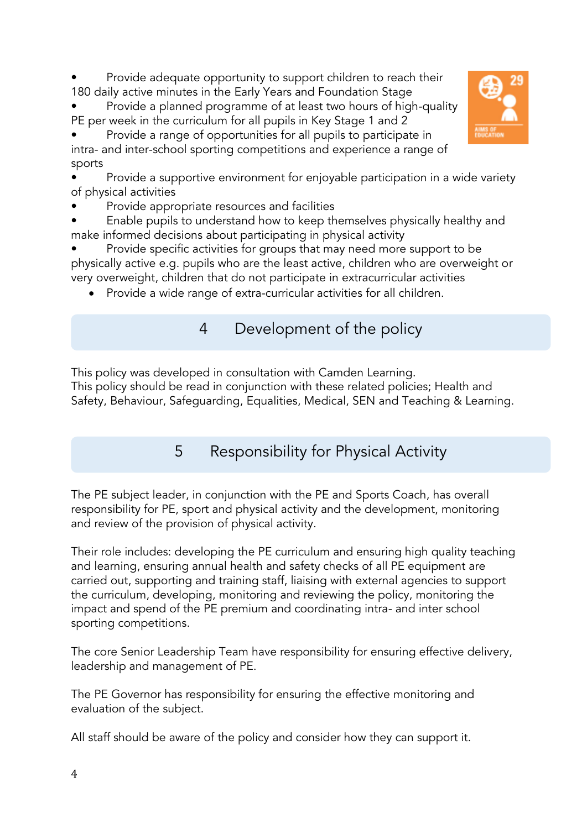Provide adequate opportunity to support children to reach their 180 daily active minutes in the Early Years and Foundation Stage

• Provide a planned programme of at least two hours of high-quality PE per week in the curriculum for all pupils in Key Stage 1 and 2

• Provide a range of opportunities for all pupils to participate in intra- and inter-school sporting competitions and experience a range of sports

Provide a supportive environment for enjoyable participation in a wide variety of physical activities

• Provide appropriate resources and facilities

• Enable pupils to understand how to keep themselves physically healthy and make informed decisions about participating in physical activity

Provide specific activities for groups that may need more support to be physically active e.g. pupils who are the least active, children who are overweight or very overweight, children that do not participate in extracurricular activities

- Provide a wide range of extra-curricular activities for all children.
	- 4 Development of the policy

This policy was developed in consultation with Camden Learning.

This policy should be read in conjunction with these related policies; Health and Safety, Behaviour, Safeguarding, Equalities, Medical, SEN and Teaching & Learning.

5 Responsibility for Physical Activity

The PE subject leader, in conjunction with the PE and Sports Coach, has overall responsibility for PE, sport and physical activity and the development, monitoring and review of the provision of physical activity.

Their role includes: developing the PE curriculum and ensuring high quality teaching and learning, ensuring annual health and safety checks of all PE equipment are carried out, supporting and training staff, liaising with external agencies to support the curriculum, developing, monitoring and reviewing the policy, monitoring the impact and spend of the PE premium and coordinating intra- and inter school sporting competitions.

The core Senior Leadership Team have responsibility for ensuring effective delivery, leadership and management of PE.

The PE Governor has responsibility for ensuring the effective monitoring and evaluation of the subject.

All staff should be aware of the policy and consider how they can support it.

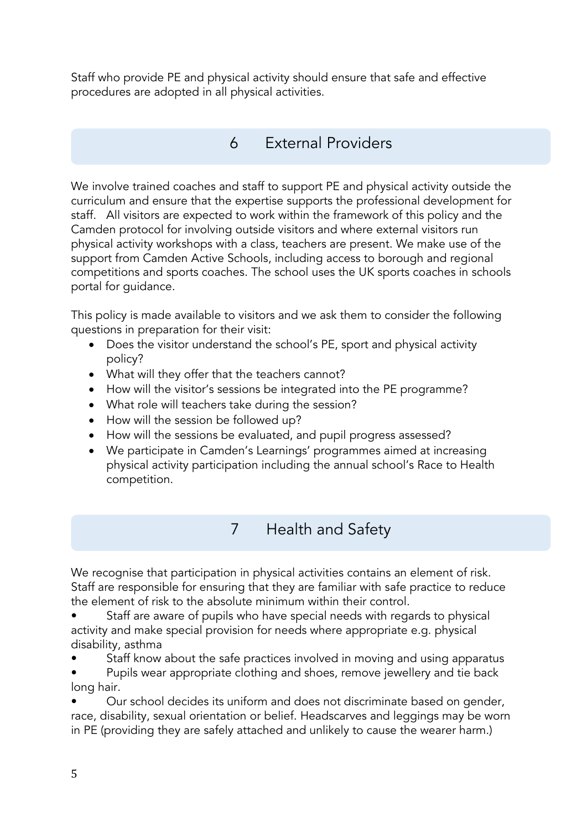Staff who provide PE and physical activity should ensure that safe and effective procedures are adopted in all physical activities.

# 6 External Providers

We involve trained coaches and staff to support PE and physical activity outside the curriculum and ensure that the expertise supports the professional development for staff. All visitors are expected to work within the framework of this policy and the Camden protocol for involving outside visitors and where external visitors run physical activity workshops with a class, teachers are present. We make use of the support from Camden Active Schools, including access to borough and regional competitions and sports coaches. The school uses the UK sports coaches in schools portal for guidance.

This policy is made available to visitors and we ask them to consider the following questions in preparation for their visit:

- Does the visitor understand the school's PE, sport and physical activity policy?
- What will they offer that the teachers cannot?
- How will the visitor's sessions be integrated into the PE programme?
- What role will teachers take during the session?
- How will the session be followed up?
- How will the sessions be evaluated, and pupil progress assessed?
- We participate in Camden's Learnings' programmes aimed at increasing physical activity participation including the annual school's Race to Health competition.
	- 7 Health and Safety

We recognise that participation in physical activities contains an element of risk. Staff are responsible for ensuring that they are familiar with safe practice to reduce the element of risk to the absolute minimum within their control.

- Staff are aware of pupils who have special needs with regards to physical activity and make special provision for needs where appropriate e.g. physical disability, asthma
- Staff know about the safe practices involved in moving and using apparatus
- Pupils wear appropriate clothing and shoes, remove jewellery and tie back long hair.

• Our school decides its uniform and does not discriminate based on gender, race, disability, sexual orientation or belief. Headscarves and leggings may be worn in PE (providing they are safely attached and unlikely to cause the wearer harm.)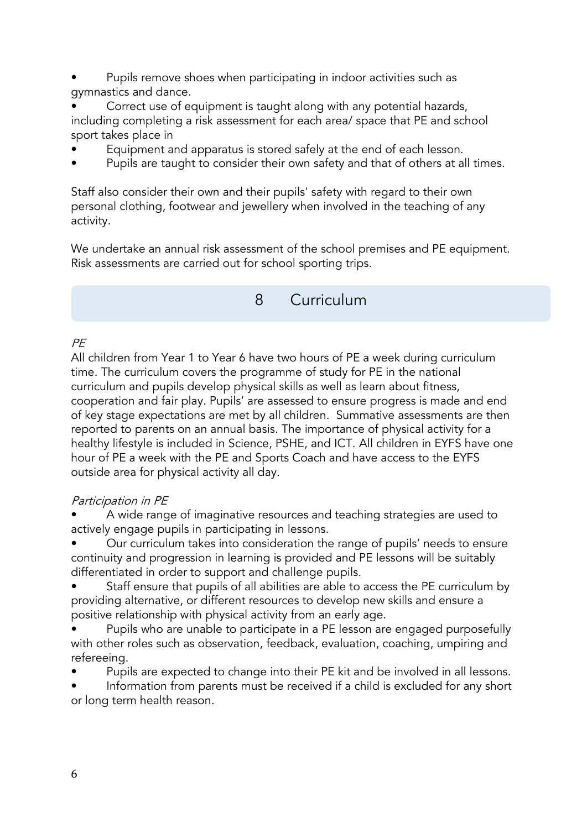• Pupils remove shoes when participating in indoor activities such as gymnastics and dance.

• Correct use of equipment is taught along with any potential hazards, including completing a risk assessment for each area/ space that PE and school sport takes place in

- Equipment and apparatus is stored safely at the end of each lesson.
- Pupils are taught to consider their own safety and that of others at all times.

Staff also consider their own and their pupils' safety with regard to their own personal clothing, footwear and jewellery when involved in the teaching of any activity.

We undertake an annual risk assessment of the school premises and PE equipment. Risk assessments are carried out for school sporting trips.

8 Curriculum

#### $P F$

All children from Year 1 to Year 6 have two hours of PE a week during curriculum time. The curriculum covers the programme of study for PE in the national curriculum and pupils develop physical skills as well as learn about fitness, cooperation and fair play. Pupils' are assessed to ensure progress is made and end of key stage expectations are met by all children. Summative assessments are then reported to parents on an annual basis. The importance of physical activity for a healthy lifestyle is included in Science, PSHE, and ICT. All children in EYFS have one hour of PE a week with the PE and Sports Coach and have access to the EYFS outside area for physical activity all day.

#### Participation in PE

• A wide range of imaginative resources and teaching strategies are used to actively engage pupils in participating in lessons.

• Our curriculum takes into consideration the range of pupils' needs to ensure continuity and progression in learning is provided and PE lessons will be suitably differentiated in order to support and challenge pupils.

• Staff ensure that pupils of all abilities are able to access the PE curriculum by providing alternative, or different resources to develop new skills and ensure a positive relationship with physical activity from an early age.

• Pupils who are unable to participate in a PE lesson are engaged purposefully with other roles such as observation, feedback, evaluation, coaching, umpiring and refereeing.

• Pupils are expected to change into their PE kit and be involved in all lessons.

Information from parents must be received if a child is excluded for any short or long term health reason.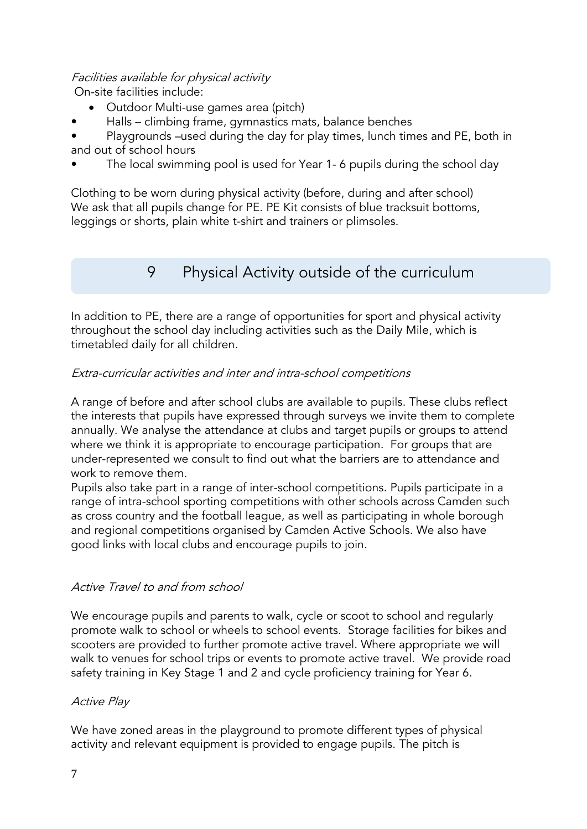#### Facilities available for physical activity

On-site facilities include:

- Outdoor Multi-use games area (pitch)
- Halls climbing frame, gymnastics mats, balance benches

• Playgrounds –used during the day for play times, lunch times and PE, both in and out of school hours

The local swimming pool is used for Year 1-6 pupils during the school day

Clothing to be worn during physical activity (before, during and after school) We ask that all pupils change for PE. PE Kit consists of blue tracksuit bottoms, leggings or shorts, plain white t-shirt and trainers or plimsoles.

### 9 Physical Activity outside of the curriculum

In addition to PE, there are a range of opportunities for sport and physical activity throughout the school day including activities such as the Daily Mile, which is timetabled daily for all children.

#### Extra-curricular activities and inter and intra-school competitions

A range of before and after school clubs are available to pupils. These clubs reflect the interests that pupils have expressed through surveys we invite them to complete annually. We analyse the attendance at clubs and target pupils or groups to attend where we think it is appropriate to encourage participation. For groups that are under-represented we consult to find out what the barriers are to attendance and work to remove them.

Pupils also take part in a range of inter-school competitions. Pupils participate in a range of intra-school sporting competitions with other schools across Camden such as cross country and the football league, as well as participating in whole borough and regional competitions organised by Camden Active Schools. We also have good links with local clubs and encourage pupils to join.

#### Active Travel to and from school

We encourage pupils and parents to walk, cycle or scoot to school and regularly promote walk to school or wheels to school events. Storage facilities for bikes and scooters are provided to further promote active travel. Where appropriate we will walk to venues for school trips or events to promote active travel. We provide road safety training in Key Stage 1 and 2 and cycle proficiency training for Year 6.

#### Active Play

We have zoned areas in the playground to promote different types of physical activity and relevant equipment is provided to engage pupils. The pitch is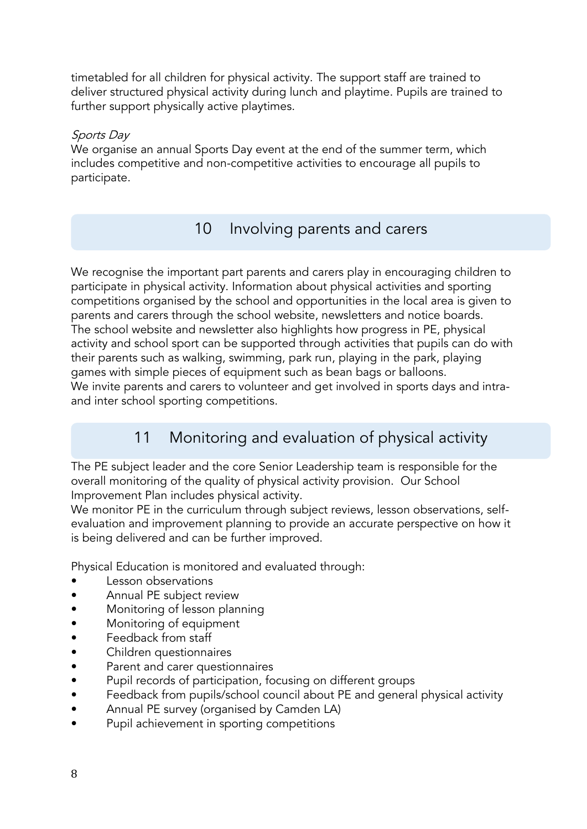timetabled for all children for physical activity. The support staff are trained to deliver structured physical activity during lunch and playtime. Pupils are trained to further support physically active playtimes.

#### Sports Day

We organise an annual Sports Day event at the end of the summer term, which includes competitive and non-competitive activities to encourage all pupils to participate.

# 10 Involving parents and carers

We recognise the important part parents and carers play in encouraging children to participate in physical activity. Information about physical activities and sporting competitions organised by the school and opportunities in the local area is given to parents and carers through the school website, newsletters and notice boards. The school website and newsletter also highlights how progress in PE, physical activity and school sport can be supported through activities that pupils can do with their parents such as walking, swimming, park run, playing in the park, playing games with simple pieces of equipment such as bean bags or balloons. We invite parents and carers to volunteer and get involved in sports days and intraand inter school sporting competitions.

# 11 Monitoring and evaluation of physical activity

The PE subject leader and the core Senior Leadership team is responsible for the overall monitoring of the quality of physical activity provision. Our School Improvement Plan includes physical activity.

We monitor PE in the curriculum through subject reviews, lesson observations, selfevaluation and improvement planning to provide an accurate perspective on how it is being delivered and can be further improved.

Physical Education is monitored and evaluated through:

- Lesson observations
- Annual PE subject review
- Monitoring of lesson planning
- Monitoring of equipment
- Feedback from staff
- Children questionnaires
- Parent and carer questionnaires
- Pupil records of participation, focusing on different groups
- Feedback from pupils/school council about PE and general physical activity
- Annual PE survey (organised by Camden LA)
- Pupil achievement in sporting competitions